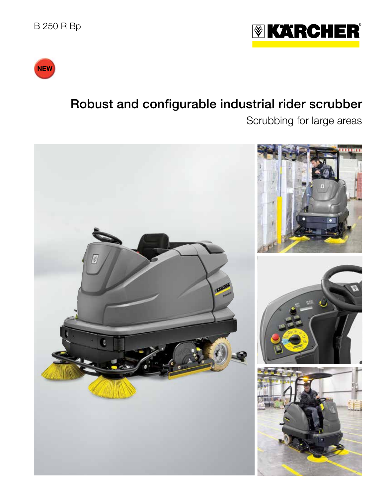



# Robust and configurable industrial rider scrubber

Scrubbing for large areas

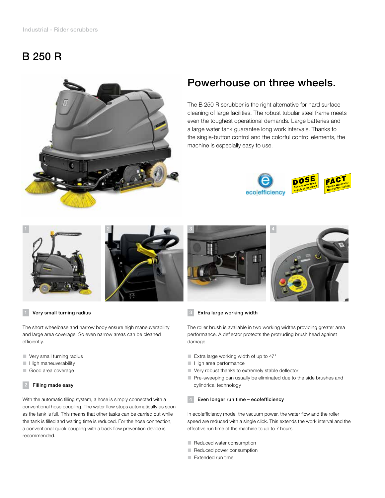## B 250 R



## Powerhouse on three wheels.

The B 250 R scrubber is the right alternative for hard surface cleaning of large facilities. The robust tubular steel frame meets even the toughest operational demands. Large batteries and a large water tank guarantee long work intervals. Thanks to the single-button control and the colorful control elements, the machine is especially easy to use.







### Very small turning radius

The short wheelbase and narrow body ensure high maneuverability and large area coverage. So even narrow areas can be cleaned efficiently.

- Very small turning radius
- **High maneuverability**
- Good area coverage

### Filling made easy

With the automatic filling system, a hose is simply connected with a conventional hose coupling. The water flow stops automatically as soon as the tank is full. This means that other tasks can be carried out while the tank is filled and waiting time is reduced. For the hose connection, a conventional quick coupling with a back flow prevention device is recommended.



### 3 Extra large working width

The roller brush is available in two working widths providing greater area performance. A deflector protects the protruding brush head against damage.

- Extra large working width of up to 47"
- High area performance
- Very robust thanks to extremely stable deflector
- **Pre-sweeping can usually be eliminated due to the side brushes and** cylindrical technology

### Even longer run time - eco!efficiency

In eco!efficiency mode, the vacuum power, the water flow and the roller speed are reduced with a single click. This extends the work interval and the effective run time of the machine to up to 7 hours.

- Reduced water consumption
- Reduced power consumption
- Extended run time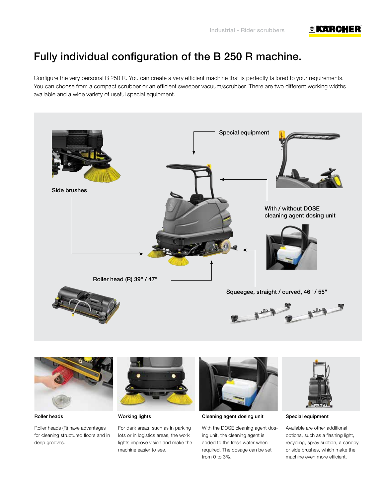### **I** KARCHER

## Fully individual configuration of the B 250 R machine.

Configure the very personal B 250 R. You can create a very efficient machine that is perfectly tailored to your requirements. You can choose from a compact scrubber or an efficient sweeper vacuum/scrubber. There are two different working widths available and a wide variety of useful special equipment.





Roller heads

Roller heads (R) have advantages for cleaning structured floors and in deep grooves.



Working lights

For dark areas, such as in parking lots or in logistics areas, the work lights improve vision and make the machine easier to see.



Cleaning agent dosing unit

With the DOSE cleaning agent dosing unit, the cleaning agent is added to the fresh water when required. The dosage can be set from 0 to 3%.



Special equipment

Available are other additional options, such as a flashing light, recycling, spray suction, a canopy or side brushes, which make the machine even more efficient.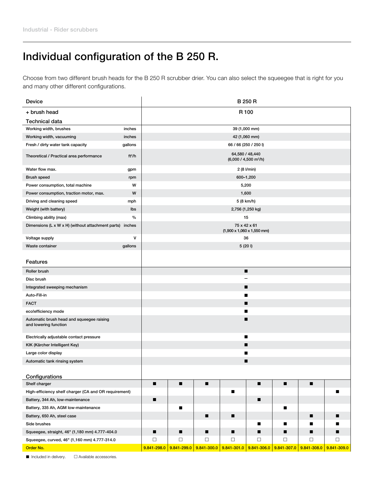## Individual configuration of the B 250 R.

Choose from two different brush heads for the B 250 R scrubber drier. You can also select the squeegee that is right for you and many other different configurations.

| Device                                                             |                    | <b>B 250 R</b>                                                 |             |             |             |             |             |                 |             |  |  |
|--------------------------------------------------------------------|--------------------|----------------------------------------------------------------|-------------|-------------|-------------|-------------|-------------|-----------------|-------------|--|--|
| + brush head                                                       |                    |                                                                |             |             | R 100       |             |             |                 |             |  |  |
| <b>Technical data</b>                                              |                    |                                                                |             |             |             |             |             |                 |             |  |  |
| Working width, brushes                                             | inches             | 39 (1,000 mm)                                                  |             |             |             |             |             |                 |             |  |  |
| Working width, vacuuming                                           | inches             | 42 (1,060 mm)                                                  |             |             |             |             |             |                 |             |  |  |
| Fresh / dirty water tank capacity                                  | gallons            | 66 / 66 (250 / 250 l)                                          |             |             |             |             |             |                 |             |  |  |
| Theoretical / Practical area performance                           | ft <sup>2</sup> /h | 64,580 / 48,440<br>(6,000 / 4,500 m <sup>2</sup> /h)           |             |             |             |             |             |                 |             |  |  |
| Water flow max.                                                    | gpm                | 2 (8 I/min)                                                    |             |             |             |             |             |                 |             |  |  |
| <b>Brush speed</b>                                                 | rpm                | 600-1,200                                                      |             |             |             |             |             |                 |             |  |  |
| Power consumption, total machine                                   | W                  | 5,200                                                          |             |             |             |             |             |                 |             |  |  |
| Power consumption, traction motor, max.                            | W                  | 1,600                                                          |             |             |             |             |             |                 |             |  |  |
| Driving and cleaning speed                                         | mph                | 5 (8 km/h)                                                     |             |             |             |             |             |                 |             |  |  |
| Weight (with battery)                                              | lbs                | 2,756 (1,250 kg)                                               |             |             |             |             |             |                 |             |  |  |
| Climbing ability (max)                                             | $\frac{0}{0}$      | 15                                                             |             |             |             |             |             |                 |             |  |  |
| Dimensions (L x W x H) (without attachment parts) inches           |                    | 75 x 42 x 61<br>$(1,900 \times 1,060 \times 1,550 \text{ mm})$ |             |             |             |             |             |                 |             |  |  |
| Voltage supply                                                     | $\mathsf{v}$       | 36                                                             |             |             |             |             |             |                 |             |  |  |
| Waste container                                                    | gallons            | 5(201)                                                         |             |             |             |             |             |                 |             |  |  |
| Features                                                           |                    |                                                                |             |             |             |             |             |                 |             |  |  |
| Roller brush                                                       |                    |                                                                |             |             |             | п           |             |                 |             |  |  |
| Disc brush                                                         |                    |                                                                |             |             |             |             |             |                 |             |  |  |
| Integrated sweeping mechanism                                      |                    | п                                                              |             |             |             |             |             |                 |             |  |  |
| Auto-Fill-in                                                       |                    |                                                                |             |             |             |             |             |                 |             |  |  |
| <b>FACT</b>                                                        |                    | ■                                                              |             |             |             |             |             |                 |             |  |  |
| eco!efficiency mode                                                |                    | ■                                                              |             |             |             |             |             |                 |             |  |  |
| Automatic brush head and squeegee raising<br>and lowering function |                    | ▬                                                              |             |             |             |             |             |                 |             |  |  |
| Electrically adjustable contact pressure                           |                    | ■                                                              |             |             |             |             |             |                 |             |  |  |
| KIK (Kärcher Intelligent Key)                                      | ■                  |                                                                |             |             |             |             |             |                 |             |  |  |
| Large color display                                                |                    | ■                                                              |             |             |             |             |             |                 |             |  |  |
| Automatic tank rinsing system                                      |                    | ■                                                              |             |             |             |             |             |                 |             |  |  |
|                                                                    |                    |                                                                |             |             |             |             |             |                 |             |  |  |
| <b>Configurations</b>                                              |                    |                                                                |             |             |             |             |             |                 |             |  |  |
| Shelf charger                                                      |                    | п                                                              | п           | ■           |             |             | п           | п               |             |  |  |
| High-efficiency shelf charger (CA and OR requirement)              |                    |                                                                |             |             | п           |             |             |                 | ■           |  |  |
| Battery, 344 Ah, low-maintenance                                   |                    | п                                                              |             |             |             | п           |             |                 |             |  |  |
| Battery, 335 Ah, AGM low-maintenance                               |                    |                                                                | П           |             |             |             | п           |                 |             |  |  |
| Battery, 650 Ah, steel case                                        |                    |                                                                |             | ■           | ■           |             |             | ■               |             |  |  |
| Side brushes                                                       |                    |                                                                |             |             |             | ■           | ■           |                 |             |  |  |
| Squeegee, straight, 46" (1,180 mm) 4.777-404.0                     |                    | ■                                                              | ■           | ■           | ■           | ■           | ■           |                 |             |  |  |
| Squeegee, curved, 46" (1,160 mm) 4.777-314.0                       |                    | $\Box$                                                         | $\Box$      | $\Box$      | $\Box$      | $\Box$      | $\Box$      | $\Box$          | $\Box$      |  |  |
| Order No.                                                          |                    | 9.841-298.0                                                    | 9.841-299.0 | 9.841-300.0 | 9.841-301.0 | 9.841-306.0 | 9.841-307.0 | $9.841 - 308.0$ | 9.841-309.0 |  |  |

 $\blacksquare$  Included in delivery.  $\Box$  Available accessories.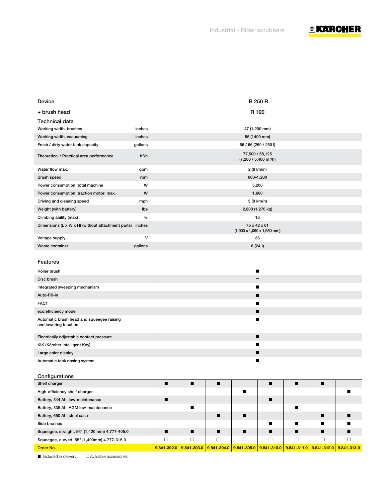

| <b>Device</b>                                                      |                    | <b>B 250 R</b>                                                 |              |             |                  |               |             |             |             |
|--------------------------------------------------------------------|--------------------|----------------------------------------------------------------|--------------|-------------|------------------|---------------|-------------|-------------|-------------|
| + brush head                                                       |                    |                                                                |              |             | R <sub>120</sub> |               |             |             |             |
| Technical data                                                     |                    |                                                                |              |             |                  |               |             |             |             |
| Working width, brushes                                             | inches             |                                                                |              |             |                  | 47 (1,200 mm) |             |             |             |
| Working width, vacuuming                                           | inches             |                                                                | 55 (1400 mm) |             |                  |               |             |             |             |
| Fresh / dirty water tank capacity                                  | gallons            | 66 / 66 (250 / 250 l)                                          |              |             |                  |               |             |             |             |
| Theoretical / Practical area performance                           | ft <sup>2</sup> /h | 77,500 / 58,125<br>(7,200 / 5,400 m <sup>2</sup> /h)           |              |             |                  |               |             |             |             |
| Water flow max.                                                    | gpm                | 2 (8 I/min)                                                    |              |             |                  |               |             |             |             |
| <b>Brush speed</b>                                                 | rpm                | 600-1,200                                                      |              |             |                  |               |             |             |             |
| Power consumption, total machine                                   | W                  | 5,200                                                          |              |             |                  |               |             |             |             |
| Power consumption, traction motor, max.                            | W                  | 1,600                                                          |              |             |                  |               |             |             |             |
| Driving and cleaning speed                                         | mph                | 5 (8 km/h)                                                     |              |             |                  |               |             |             |             |
| Weight (with battery)                                              | lbs                | 2,800 (1,270 kg)                                               |              |             |                  |               |             |             |             |
| Climbing ability (max)                                             | $\%$               | 15                                                             |              |             |                  |               |             |             |             |
| Dimensions (L x W x H) (without attachment parts) inches           |                    | 75 x 42 x 61<br>$(1,900 \times 1,060 \times 1,550 \text{ mm})$ |              |             |                  |               |             |             |             |
| Voltage supply                                                     | v                  | 36                                                             |              |             |                  |               |             |             |             |
| Waste container                                                    | gallons            | 6(241)                                                         |              |             |                  |               |             |             |             |
|                                                                    |                    |                                                                |              |             |                  |               |             |             |             |
| Features                                                           |                    |                                                                |              |             |                  |               |             |             |             |
| Roller brush                                                       |                    |                                                                |              |             |                  | п             |             |             |             |
| Disc brush                                                         |                    |                                                                |              |             |                  |               |             |             |             |
| Integrated sweeping mechanism                                      |                    |                                                                |              |             |                  | ■             |             |             |             |
| Auto-Fill-in                                                       |                    | ■                                                              |              |             |                  |               |             |             |             |
| <b>FACT</b>                                                        |                    | ■                                                              |              |             |                  |               |             |             |             |
| eco!efficiency mode                                                |                    | п                                                              |              |             |                  |               |             |             |             |
| Automatic brush head and squeegee raising<br>and lowering function |                    | ■                                                              |              |             |                  |               |             |             |             |
| Electrically adjustable contact pressure                           |                    | п                                                              |              |             |                  |               |             |             |             |
| KIK (Kärcher Intelligent Key)                                      |                    | ■                                                              |              |             |                  |               |             |             |             |
| Large color display                                                |                    | ■                                                              |              |             |                  |               |             |             |             |
| Automatic tank rinsing system                                      |                    |                                                                |              |             |                  | ■             |             |             |             |
|                                                                    |                    |                                                                |              |             |                  |               |             |             |             |
| Configurations                                                     |                    |                                                                |              |             |                  |               |             |             |             |
| Shelf charger                                                      |                    | п                                                              | п            | ■           |                  | п             | п           | п           |             |
| High-efficiency shelf charger                                      |                    |                                                                |              |             | ■                |               |             |             |             |
| Battery, 344 Ah, low-maintenance                                   |                    | п                                                              |              |             |                  | п             |             |             |             |
| Battery, 335 Ah, AGM low-maintenance                               |                    |                                                                | ■            |             |                  |               |             |             |             |
| Battery, 650 Ah, steel case                                        |                    |                                                                |              | ■           | ■                |               |             | ш           |             |
| Side brushes                                                       |                    |                                                                |              |             |                  | ■             |             |             |             |
| Squeegee, straight, 56" (1,420 mm) 4.777-405.0                     |                    | ■                                                              | ■            | ■           | ■                | ■             |             | ▪           | ■           |
| Squeegee, curved, 55" (1,400mm) 4.777-315.0                        |                    | $\Box$                                                         | $\Box$       | $\Box$      | $\Box$           | □             | □           | $\Box$      | □           |
| Order No.                                                          |                    | 9.841-302.0                                                    | 9.841-303.0  | 9.841-304.0 | 9.841-305.0      | 9.841-310.0   | 9.841-311.0 | 9.841-312.0 | 9.841-313.0 |

 $\blacksquare$  Included in delivery.  $\Box$  Available accessories.